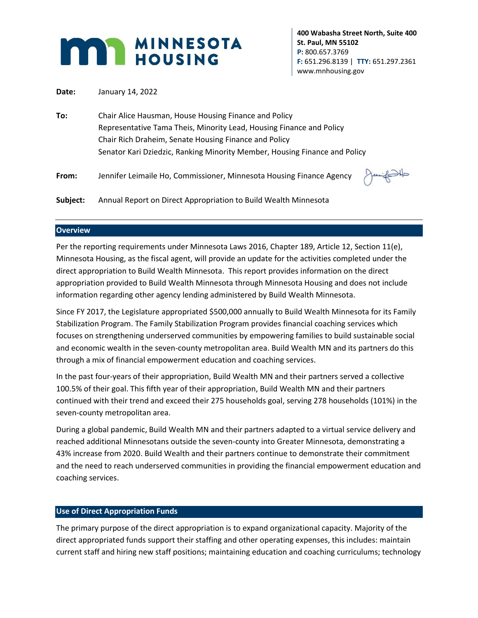

**400 Wabasha Street North, Suite 400 St. Paul, MN 55102 P:** 800.657.3769 **F:** 651.296.8139 | **TTY:** 651.297.2361 www.mnhousing.gov

**Date:** January 14, 2022

- **To:** Chair Alice Hausman, House Housing Finance and Policy Representative Tama Theis, Minority Lead, Housing Finance and Policy Chair Rich Draheim, Senate Housing Finance and Policy Senator Kari Dziedzic, Ranking Minority Member, Housing Finance and Policy
- **From:** Jennifer Leimaile Ho, Commissioner, Minnesota Housing Finance Agency



**Subject:** Annual Report on Direct Appropriation to Build Wealth Minnesota

### **Overview**

Per the reporting requirements under Minnesota Laws 2016, Chapter 189, Article 12, Section 11(e), Minnesota Housing, as the fiscal agent, will provide an update for the activities completed under the direct appropriation to Build Wealth Minnesota. This report provides information on the direct appropriation provided to Build Wealth Minnesota through Minnesota Housing and does not include information regarding other agency lending administered by Build Wealth Minnesota.

Since FY 2017, the Legislature appropriated \$500,000 annually to Build Wealth Minnesota for its Family Stabilization Program. The Family Stabilization Program provides financial coaching services which focuses on strengthening underserved communities by empowering families to build sustainable social and economic wealth in the seven-county metropolitan area. Build Wealth MN and its partners do this through a mix of financial empowerment education and coaching services.

In the past four-years of their appropriation, Build Wealth MN and their partners served a collective 100.5% of their goal. This fifth year of their appropriation, Build Wealth MN and their partners continued with their trend and exceed their 275 households goal, serving 278 households (101%) in the seven-county metropolitan area.

During a global pandemic, Build Wealth MN and their partners adapted to a virtual service delivery and reached additional Minnesotans outside the seven-county into Greater Minnesota, demonstrating a 43% increase from 2020. Build Wealth and their partners continue to demonstrate their commitment and the need to reach underserved communities in providing the financial empowerment education and coaching services.

#### **Use of Direct Appropriation Funds**

The primary purpose of the direct appropriation is to expand organizational capacity. Majority of the direct appropriated funds support their staffing and other operating expenses, this includes: maintain current staff and hiring new staff positions; maintaining education and coaching curriculums; technology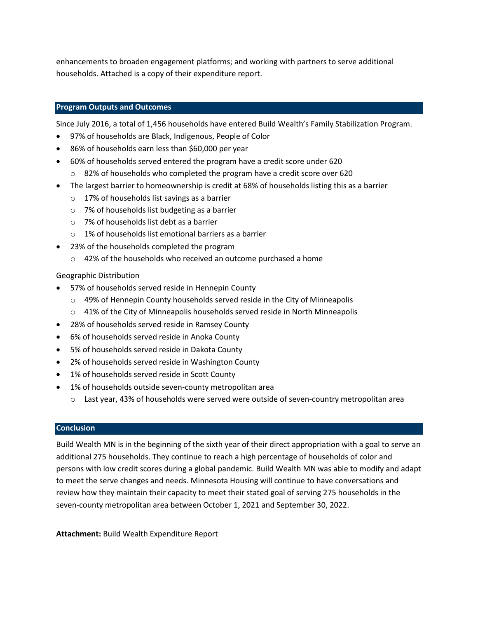enhancements to broaden engagement platforms; and working with partners to serve additional households. Attached is a copy of their expenditure report.

## **Program Outputs and Outcomes**

Since July 2016, a total of 1,456 households have entered Build Wealth's Family Stabilization Program.

- 97% of households are Black, Indigenous, People of Color
- 86% of households earn less than \$60,000 per year
- 60% of households served entered the program have a credit score under 620
	- o 82% of households who completed the program have a credit score over 620
- The largest barrier to homeownership is credit at 68% of households listing this as a barrier
	- o 17% of households list savings as a barrier
	- o 7% of households list budgeting as a barrier
	- o 7% of households list debt as a barrier
	- o 1% of households list emotional barriers as a barrier
- 23% of the households completed the program
	- o 42% of the households who received an outcome purchased a home

#### Geographic Distribution

- 57% of households served reside in Hennepin County
	- o 49% of Hennepin County households served reside in the City of Minneapolis
	- o 41% of the City of Minneapolis households served reside in North Minneapolis
- 28% of households served reside in Ramsey County
- 6% of households served reside in Anoka County
- 5% of households served reside in Dakota County
- 2% of households served reside in Washington County
- 1% of households served reside in Scott County
- 1% of households outside seven-county metropolitan area
	- o Last year, 43% of households were served were outside of seven-country metropolitan area

#### **Conclusion**

Build Wealth MN is in the beginning of the sixth year of their direct appropriation with a goal to serve an additional 275 households. They continue to reach a high percentage of households of color and persons with low credit scores during a global pandemic. Build Wealth MN was able to modify and adapt to meet the serve changes and needs. Minnesota Housing will continue to have conversations and review how they maintain their capacity to meet their stated goal of serving 275 households in the seven-county metropolitan area between October 1, 2021 and September 30, 2022.

**Attachment:** Build Wealth Expenditure Report